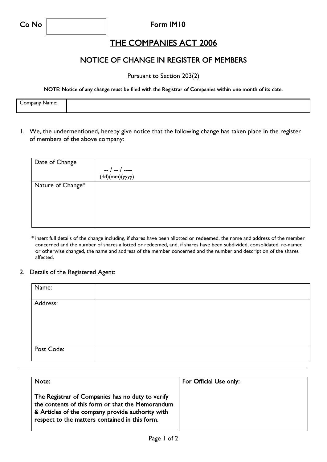Co No **Form IM10** 

## THE COMPANIES ACT 2006

## NOTICE OF CHANGE IN REGISTER OF MEMBERS

Pursuant to Section 203(2)

NOTE: Notice of any change must be filed with the Registrar of Companies within one month of its date.

| -<br>ompany Name: |  |
|-------------------|--|
|                   |  |

1. We, the undermentioned, hereby give notice that the following change has taken place in the register of members of the above company:

| Date of Change    |  |
|-------------------|--|
|                   |  |
|                   |  |
| Nature of Change* |  |
|                   |  |
|                   |  |
|                   |  |
|                   |  |
|                   |  |

\* insert full details of the change including, if shares have been allotted or redeemed, the name and address of the member concerned and the number of shares allotted or redeemed, and, if shares have been subdivided, consolidated, re-named or otherwise changed, the name and address of the member concerned and the number and description of the shares affected.

2. Details of the Registered Agent:

| Name:      |  |
|------------|--|
| Address:   |  |
| Post Code: |  |

| Note:                                                                                                                                                                                                      | For Official Use only: |  |
|------------------------------------------------------------------------------------------------------------------------------------------------------------------------------------------------------------|------------------------|--|
| The Registrar of Companies has no duty to verify<br>the contents of this form or that the Memorandum<br>& Articles of the company provide authority with<br>respect to the matters contained in this form. |                        |  |